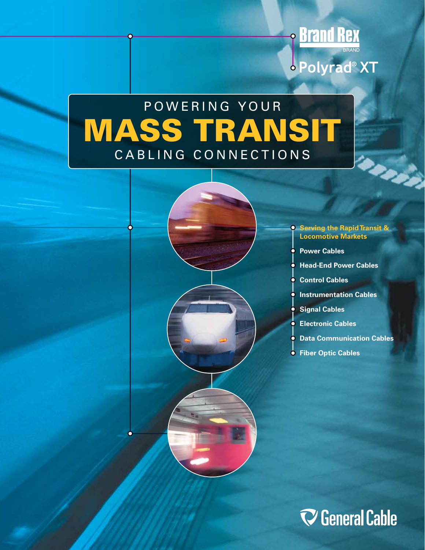



**P Brand Rex** 

· Polyrad® XT

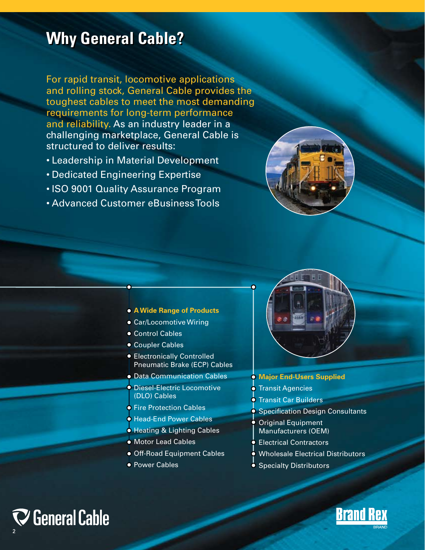# **Why General Cable? Why General Cable?**

For rapid transit, locomotive applications and rolling stock, General Cable provides the toughest cables to meet the most demanding requirements for long-term performance and reliability. As an industry leader in a challenging marketplace, General Cable is structured to deliver results:

- Leadership in Material Development
- Dedicated Engineering Expertise
- ISO 9001 Quality Assurance Program
- Advanced Customer eBusiness Tools





- **A Wide Range of Products**
- **Car/Locomotive Wiring**
- Control Cables
- Coupler Cables
- **Electronically Controlled** Pneumatic Brake (ECP) Cables
- Data Communication Cables
- Diesel-Electric Locomotive (DLO) Cables
- **Fire Protection Cables**
- **Head-End Power Cables**
- **Heating & Lighting Cables**
- **Motor Lead Cables**
- **Off-Road Equipment Cables**
- Power Cables



- **Transit Agencies**
- **Transit Car Builders**
- **Specification Design Consultants** 
	- Original Equipment Manufacturers (OEM)
	- Electrical Contractors
- Wholesale Electrical Distributors
- **Specialty Distributors**



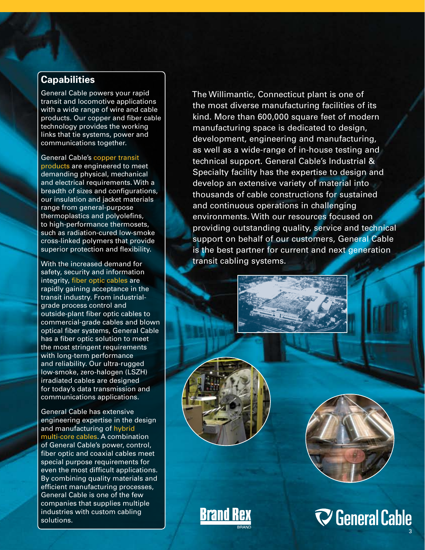# **Capabilities**

General Cable powers your rapid transit and locomotive applications with a wide range of wire and cable products. Our copper and fiber cable technology provides the working links that tie systems, power and communications together.

General Cable's copper transit products are engineered to meet demanding physical, mechanical and electrical requirements. With a breadth of sizes and configurations, our insulation and jacket materials range from general-purpose thermoplastics and polyolefins, to high-performance thermosets, such as radiation-cured low-smoke cross-linked polymers that provide superior protection and flexibility.

With the increased demand for safety, security and information integrity, fiber optic cables are rapidly gaining acceptance in the transit industry. From industrialgrade process control and outside-plant fiber optic cables to commercial-grade cables and blown optical fiber systems, General Cable has a fiber optic solution to meet the most stringent requirements with long-term performance and reliability. Our ultra-rugged low-smoke, zero-halogen (LSZH) irradiated cables are designed for today's data transmission and communications applications.

General Cable has extensive engineering expertise in the design and manufacturing of hybrid multi-core cables. A combination of General Cable's power, control, fiber optic and coaxial cables meet special purpose requirements for even the most difficult applications. By combining quality materials and efficient manufacturing processes, General Cable is one of the few companies that supplies multiple industries with custom cabling solutions.

 The Willimantic, Connecticut plant is one of the most diverse manufacturing facilities of its kind. More than 600,000 square feet of modern manufacturing space is dedicated to design, development, engineering and manufacturing, as well as a wide-range of in-house testing and technical support. General Cable's Industrial & Specialty facility has the expertise to design and develop an extensive variety of material into thousands of cable constructions for sustained and continuous operations in challenging environments. With our resources focused on providing outstanding quality, service and technical support on behalf of our customers, General Cable is the best partner for current and next generation transit cabling systems.





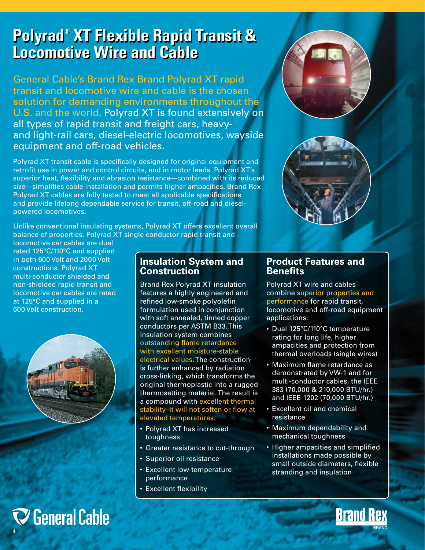# **Polyrad® XT Flexible Rapid Transit & Locomotive Wire and Cable Polyrad® XT Flexible Rapid Transit & Locomotive Wire and Cable**

General Cable's Brand Rex Brand Polyrad XT rapid transit and locomotive wire and cable is the chosen solution for demanding environments throughout the U.S. and the world. Polyrad XT is found extensively on all types of rapid transit and freight cars, heavyand light-rail cars, diesel-electric locomotives, wayside equipment and off-road vehicles.

Polyrad XT transit cable is specifically designed for original equipment and retrofit use in power and control circuits, and in motor leads. Polyrad XT's superior heat, flexibility and abrasion resistance—combined with its reduced size—simplifies cable installation and permits higher ampacities. Brand Rex Polyrad XT cables are fully tested to meet all applicable specifications and provide lifelong dependable service for transit, off-road and dieselpowered locomotives.

Unlike conventional insulating systems, Polyrad XT offers excellent overall balance of properties. Polyrad XT single conductor rapid transit and

locomotive car cables are dual rated 125°C/110°C and supplied in both 600 Volt and 2000 Volt constructions. Polyrad XT multi-conductor shielded and non-shielded rapid transit and locomotive car cables are rated at 125°C and supplied in a 600 Volt construction.



# $\nabla$  General Cable 4

# **Insulation System and Construction**

Brand Rex Polyrad XT insulation features a highly engineered and refined low-smoke polyolefin formulation used in conjunction with soft annealed, tinned copper conductors per ASTM B33. This insulation system combines outstanding flame retardance with excellent moisture-stable electrical values. The construction is further enhanced by radiation cross-linking, which transforms the original thermoplastic into a rugged thermosetting material. The result is a compound with excellent thermal stability–it will not soften or flow at elevated temperatures.

- Polyrad XT has increased toughness
- Greater resistance to cut-through
- Superior oil resistance
- Excellent low-temperature performance
- Excellent flexibility

# **Product Features and Benefits**

Polyrad XT wire and cables combine superior properties and performance for rapid transit, locomotive and off-road equipment applications.

- Dual 125°C/110°C temperature rating for long life, higher ampacities and protection from thermal overloads (single wires)
- Maximum flame retardance as demonstrated by VW-1 and for multi-conductor cables, the IEEE 383 (70,000 & 210,000 BTU/hr.) and IEEE 1202 (70,000 BTU/hr.)
- Excellent oil and chemical resistance
- Maximum dependability and mechanical toughness
- Higher ampacities and simplified installations made possible by small outside diameters, flexible stranding and insulation

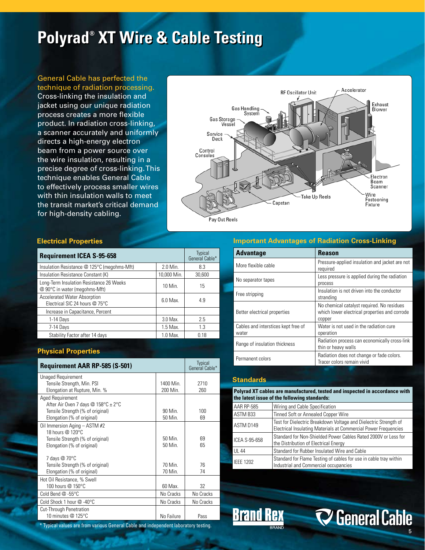# **Polyrad<sup>®</sup> XT Wire & Cable Testing**

General Cable has perfected the technique of radiation processing. Cross-linking the insulation and jacket using our unique radiation process creates a more flexible product. In radiation cross-linking, a scanner accurately and uniformly directs a high-energy electron beam from a power source over the wire insulation, resulting in a precise degree of cross-linking. This technique enables General Cable to effectively process smaller wires with thin insulation walls to meet the transit market's critical demand for high-density cabling.



# **Electrical Properties**

| <b>Requirement ICEA S-95-658</b>                                          |             | <b>Typical</b><br>General Cable* |
|---------------------------------------------------------------------------|-------------|----------------------------------|
| Insulation Resistance @ 125°C (megohms-Mft)                               | 2.0 Min.    | 8.3                              |
| Insulation Resistance Constant (K)                                        | 10,000 Min. | 30,600                           |
| Long-Term Insulation Resistance 26 Weeks<br>@ 90°C in water (megohms-Mft) | 10 Min.     | 15                               |
| <b>Accelerated Water Absorption</b><br>Electrical SIC 24 hours @ 75°C     | $6.0$ Max.  | 4.9                              |
| Increase in Capacitance, Percent                                          |             |                                  |
| 1-14 Days                                                                 | 3.0 Max.    | 2.5                              |
| 7-14 Days                                                                 | 1.5 Max.    | 1.3                              |
| Stability Factor after 14 days                                            | 1.0 Max.    | 018                              |

# **Physical Properties**

| <b>Requirement AAR RP-585 (S-501)</b>                                 |                    | <b>Typical</b><br>General Cable* |  |
|-----------------------------------------------------------------------|--------------------|----------------------------------|--|
| Unaged Requirement<br>Tensile Strength, Min. PSI                      | 1400 Min.          | 2710                             |  |
| Elongation at Rupture, Min. %                                         | 200 Min.           | 260                              |  |
| Aged Requirement<br>After Air Oven 7 days @ $158^{\circ}$ C $\pm$ 2°C |                    |                                  |  |
| Tensile Strength (% of original)<br>Elongation (% of original)        | 90 Min.<br>50 Min. | 100<br>69                        |  |
| Oil Immersion Aging - ASTM #2<br>18 hours @ 120°C                     |                    |                                  |  |
| Tensile Strength (% of original)                                      | 50 Min.            | 69                               |  |
| Elongation (% of original)                                            | 50 Min.            | 65                               |  |
| 7 days @ 70°C                                                         |                    |                                  |  |
| Tensile Strength (% of original)                                      | 70 Min.            | 76                               |  |
| Elongation (% of original)                                            | 70 Min.            | 74                               |  |
| Hot Oil Resistance, % Swell                                           |                    |                                  |  |
| 100 hours @ 150°C                                                     | 60 Max.            | 32                               |  |
| Cold Bend $@ - 55°C$                                                  | No Cracks          | No Cracks                        |  |
| Cold Shock 1 hour @ -40°C                                             | No Cracks          | No Cracks                        |  |
| Cut-Through Penetration                                               |                    |                                  |  |
| 10 minutes $@$ 125°C                                                  | No Failure         | Pass                             |  |

**Important Advantages of Radiation Cross-Linking**

| <b>Advantage</b>                             | <b>Reason</b>                                                                                         |
|----------------------------------------------|-------------------------------------------------------------------------------------------------------|
| More flexible cable                          | Pressure-applied insulation and jacket are not<br>required                                            |
| No separator tapes                           | Less pressure is applied during the radiation<br>process                                              |
| Free stripping                               | Insulation is not driven into the conductor<br>stranding                                              |
| Better electrical properties                 | No chemical catalyst required. No residues<br>which lower electrical properties and corrode<br>copper |
| Cables and interstices kept free of<br>water | Water is not used in the radiation cure<br>operation                                                  |
| Range of insulation thickness                | Radiation process can economically cross-link<br>thin or heavy walls                                  |
| Permanent colors                             | Radiation does not change or fade colors.<br>Tracer colors remain vivid                               |

| <b>Standards</b> |                                                                                                                                     |  |  |  |  |  |  |  |  |  |
|------------------|-------------------------------------------------------------------------------------------------------------------------------------|--|--|--|--|--|--|--|--|--|
|                  | Polyrad XT cables are manufactured, tested and inspected in accordance with<br>the latest issue of the following standards:         |  |  |  |  |  |  |  |  |  |
| AAR RP-585       | Wiring and Cable Specification                                                                                                      |  |  |  |  |  |  |  |  |  |
| ASTM B33         | Tinned Soft or Annealed Copper Wire                                                                                                 |  |  |  |  |  |  |  |  |  |
| ASTM D149        | Test for Dielectric Breakdown Voltage and Dielectric Strength of<br>Electrical Insulating Materials at Commercial Power Frequencies |  |  |  |  |  |  |  |  |  |
| ICEA S-95-658    | Standard for Non-Shielded Power Cables Rated 2000V or Less for<br>the Distribution of Electrical Energy                             |  |  |  |  |  |  |  |  |  |
| UL 44            | Standard for Rubber Insulated Wire and Cable                                                                                        |  |  |  |  |  |  |  |  |  |
| <b>IEEE 1202</b> | Standard for Flame Testing of cables for use in cable tray within<br>Industrial and Commercial occupancies                          |  |  |  |  |  |  |  |  |  |

**V** General Cable

**Brand Rex** 

\* Typical values are from various General Cable and independent laboratory testing.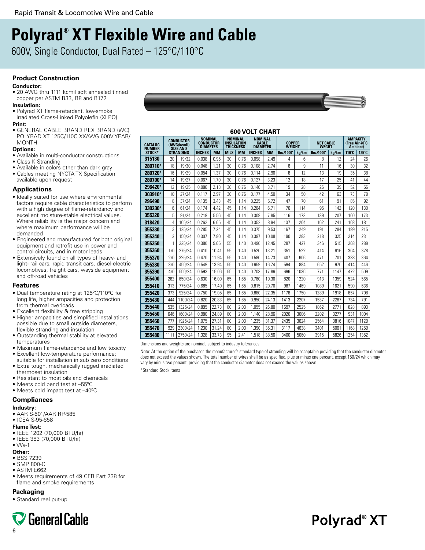# **Polyrad® XT Flexible Wire and Cable**

600V, Single Conductor, Dual Rated – 125°C/110°C

# **Product Construction**

#### **Conductor:**

• 20 AWG thru 1111 kcmil soft annealed tinned copper per ASTM B33, B8 and B172

# **Insulation:**

- Polyrad XT flame-retardant, low-smoke irradiated Cross-Linked Polyolefin (XLPO) **Print:**
- GENERAL CABLE BRAND REX BRAND (WC) POLYRAD XT 125C/110C XXAWG 600V YEAR/ MONTH

#### **Options:**

- Available in multi-conductor constructions
- Class K Stranding
- Available in colors other than dark gray • Cables meeting NYCTA TX Specification available upon request

# **Applications**

- Ideally suited for use where environmental factors require cable characteristics to perform with a high degree of flame-retardancy and excellent moisture-stable electrical values. Where reliability is the major concern and where maximum performance will be demanded
- Engineered and manufactured for both original equipment and retrofit use in power and control circuits, and in motor leads
- Extensively found on all types of heavy- and light- rail cars, rapid transit cars, diesel-electric locomotives, freight cars, wayside equipment and off-road vehicles

## **Features**

- Dual temperature rating at 125ºC/110ºC for long life, higher ampacities and protection from thermal overloads
- Excellent flexibility & free stripping
- Higher ampacities and simplified installations possible due to small outside diameters, flexible stranding and insulation
- Outstanding thermal stability at elevated temperatures
- Maximum flame-retardance and low toxicity
- Excellent low-temperature performance; suitable for installation in sub zero conditions • Extra tough, mechanically rugged irradiated
- thermoset insulation
- Resistant to most oils and chemicals
- Meets cold bend test at –55ºC
- Meets cold impact test at –40ºC

# **Compliances**

# **Industry:**

- AAR S-501/AAR RP-585
- ICEA S-95-658

# **Flame Test:**

- IEEE 1202 (70,000 BTU/hr)
- IEEE 383 (70,000 BTU/hr)
- $\bullet$  VW-1

# **Other:**

- BSS 7239
- SMP 800-C
- ASTM E662
- Meets requirements of 49 CFR Part 238 for flame and smoke requirements

# **Packaging**

• Standard reel put-up





**600 Volt Chart**

| 600 VOLT CHART           |           |                                             |                                                |           |             |                                                         |                                                   |           |                         |       |                           |       |                                                       |       |
|--------------------------|-----------|---------------------------------------------|------------------------------------------------|-----------|-------------|---------------------------------------------------------|---------------------------------------------------|-----------|-------------------------|-------|---------------------------|-------|-------------------------------------------------------|-------|
| CATALOG<br><b>NUMBER</b> |           | CONDUCTOR<br>(AWG/kcmil)<br><b>SIZE AND</b> | <b>NOMINAL</b><br>CONDUCTOR<br><b>DIAMETER</b> |           |             | <b>NOMINAL</b><br><b>INSULATION</b><br><b>THICKNESS</b> | <b>NOMINAL</b><br><b>CABLE</b><br><b>DIAMETER</b> |           | <b>COPPER</b><br>WEIGHT |       | <b>NET CABLE</b><br>WEGHT |       | <b>AMPACITY</b><br>(Free Air 40°C<br><b>Ambient</b> ) |       |
| STOCK*                   | STRANDING |                                             | <b>INCHES</b>                                  | <b>MM</b> | <b>MILS</b> | <b>MM</b>                                               | <b>INCHES</b>                                     | <b>MM</b> | lbs./1000               | ka/km | lbs./1000                 | ka/km | $110^{\circ}$ C                                       | 125°C |
| 315130                   | 20        | 19/32                                       | 0.038                                          | 0.95      | 30          | 0.76                                                    | 0.098                                             | 2.49      | 4                       | 6     | 8                         | 12    | 24                                                    | 26    |
| 280710*                  | 18        | 19/30                                       | 0.048                                          | 1.21      | 30          | 0.76                                                    | 0.108                                             | 2.74      | 6                       | g     | 11                        | 16    | 30                                                    | 32    |
| 280720*                  | 16        | 19/29                                       | 0.054                                          | 1.37      | 30          | 0.76                                                    | በ 114                                             | 2.90      | 8                       | 12    | 13                        | 19    | 35                                                    | 38    |
| 280700*                  | 14        | 19/27                                       | 0.067                                          | 1.70      | 30          | 0.76                                                    | 0.127                                             | 3.23      | 12                      | 18    | 17                        | 25    | 41                                                    | 44    |
| 296420*                  | 12        | 19/25                                       | 0.086                                          | 2.18      | 30          | 0.76                                                    | 0.146                                             | 3.71      | 19                      | 28    | 26                        | 39    | 52                                                    | 56    |
| 303910*                  | 10        | 27/24                                       | 0.117                                          | 2.97      | 30          | 0.76                                                    | 0.177                                             | 4.50      | 34                      | 50    | 42                        | 63    | 73                                                    | 79    |
| 296490                   | 8         | 37/24                                       | 0.135                                          | 3.43      | 45          | 1.14                                                    | 0.225                                             | 5.72      | 47                      | 70    | 61                        | 91    | 85                                                    | 92    |
| 330230*                  | 6         | 61/24                                       | 0.174                                          | 4.42      | 45          | 1.14                                                    | 0.264                                             | 6.71      | 76                      | 114   | 95                        | 142   | 120                                                   | 130   |
| 355320                   | 5         | 91/24                                       | 0.219                                          | 5.56      | 45          | 1.14                                                    | 0.309                                             | 7.85      | 116                     | 173   | 139                       | 207   | 160                                                   | 173   |
| 318420                   | 4         | 105/24                                      | 0.262                                          | 6.65      | 45          | 1.14                                                    | 0.352                                             | 8.94      | 137                     | 204   | 162                       | 241   | 168                                                   | 181   |
| 355330                   | 3         | 125/24                                      | 0.285                                          | 7.24      | 45          | 1.14                                                    | 0.375                                             | 9.53      | 167                     | 249   | 191                       | 284   | 199                                                   | 215   |
| 355340                   | 2         | 150/24                                      | 0.307                                          | 7.80      | 45          | 1.14                                                    | 0.397                                             | 10.08     | 190                     | 283   | 218                       | 325   | 214                                                   | 231   |
| 355350                   | 1         | 225/24                                      | 0.380                                          | 9.65      | 55          | 1.40                                                    | 0.490                                             | 12.45     | 287                     | 427   | 346                       | 515   | 268                                                   | 289   |
| 355360                   | 1/0       | 275/24                                      | 0.410                                          | 10.41     | 55          | 1.40                                                    | 0.520                                             | 13.21     | 351                     | 522   | 414                       | 616   | 304                                                   | 328   |
| 355370                   | 2/0       | 325/24                                      | 0.470                                          | 11.94     | 55          | 1.40                                                    | 0.580                                             | 14.73     | 407                     | 606   | 471                       | 701   | 338                                                   | 364   |
| 355380                   | 3/0       | 450/24                                      | 0.549                                          | 13.94     | 55          | 1.40                                                    | 0.659                                             | 16.74     | 594                     | 884   | 652                       | 970   | 414                                                   | 446   |
| 355390                   | 4/0       | 550/24                                      | 0.593                                          | 15.06     | 55          | 1.40                                                    | 0.703                                             | 17.86     | 696                     | 1036  | 771                       | 1147  | 472                                                   | 509   |
| 355400                   | 262       | 650/24                                      | 0.630                                          | 16.00     | 65          | 1.65                                                    | 0.760                                             | 19.30     | 820                     | 1220  | 913                       | 1359  | 524                                                   | 565   |
| 355410                   | 313       | 775/24                                      | 0.685                                          | 17.40     | 65          | 1.65                                                    | 0.815                                             | 20.70     | 987                     | 1469  | 1089                      | 1621  | 590                                                   | 636   |
| 355420                   | 373       | 925/24                                      | 0.750                                          | 19.05     | 65          | 1.65                                                    | 0.880                                             | 22.35     | 1176                    | 1750  | 1289                      | 1918  | 657                                                   | 708   |
| 355430                   | 444       | 1100/24                                     | 0.820                                          | 20.83     | 65          | 1.65                                                    | 0.950                                             | 24.13     | 1413                    | 2207  | 1537                      | 2287  | 734                                                   | 791   |
| 355440                   | 535       | 1325/24                                     | 0.895                                          | 22.73     | 80          | 2.03                                                    | 1.055                                             | 26.80     | 1697                    | 2525  | 1862                      | 2771  | 828                                                   | 893   |
| 355450                   | 646       | 1600/24                                     | 0.980                                          | 24.89     | 80          | 2.03                                                    | 1.140                                             | 28.96     | 2020                    | 3006  | 2202                      | 3277  | 931                                                   | 1004  |
| 355460                   | 777       | 1925/24                                     | 1.075                                          | 27.31     | 80          | 2.03                                                    | 1.235                                             | 31.37     | 2435                    | 3624  | 2564                      | 3816  | 1047                                                  | 1129  |
| 355470                   | 929       | 2300/24                                     | 1.230                                          | 31.24     | 80          | 2.03                                                    | 1.390                                             | 35.31     | 3117                    | 4638  | 3401                      | 5061  | 1168                                                  | 1259  |
| 355480                   | 1111      | 2750/24                                     | 1.328                                          | 33.73     | 95          | 2.41                                                    | 1.518                                             | 38.56     | 3400                    | 5060  | 3915                      | 5826  | 1254                                                  | 1352  |

Dimensions and weights are nominal; subject to industry tolerances.

Note: At the option of the purchaser, the manufacturer's standard type of stranding will be acceptable providing that the conductor diameter does not exceed the values shown. The total number of wires shall be as specified, plus or minus one percent, except 150/24 which may vary by minus two percent, providing that the conductor diameter does not exceed the values shown.

\*Standard Stock Items

# Polyrad<sup>®</sup> XT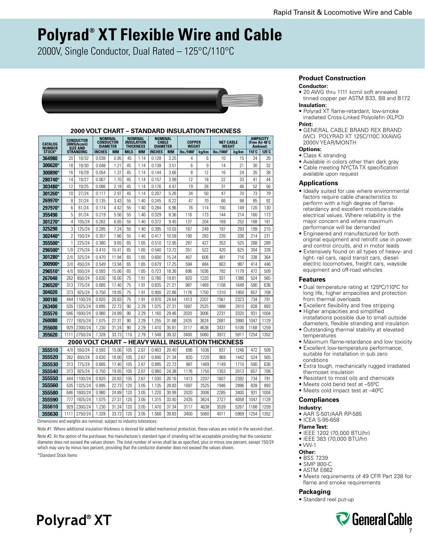# **Polyrad® XT Flexible Wire and Cable**

2000V, Single Conductor, Dual Rated – 125°C/110°C



# **2000 Volt CHART – STANDARD INSULATION THICKNESS**

| CATALOG<br><b>NUMBER</b> |                  | <b>CONDUCTOR</b><br>(AWG/kcmil)<br><b>SIZE AND</b> | <b>NOMINAL</b><br><b>CONDUCTOR</b><br><b>DIAMETER</b> |           |             | <b>NOMINAL</b><br><b>INSULATION</b><br><b>THICKNESS</b> | <b>NOMINAL</b><br><b>CABLE</b><br><b>DIAMETER</b> |           | <b>COPPER</b><br><b>WEGHT</b> |       | <b>NET CABLE</b><br><b>WEGHT</b>                  |       | <b>AMPACITY</b><br>(Free Air 40°C<br>Ambient) |       |
|--------------------------|------------------|----------------------------------------------------|-------------------------------------------------------|-----------|-------------|---------------------------------------------------------|---------------------------------------------------|-----------|-------------------------------|-------|---------------------------------------------------|-------|-----------------------------------------------|-------|
| <b>STOCK*</b>            | <b>STRANDING</b> |                                                    | <b>INCHES</b>                                         | <b>MM</b> | <b>MILS</b> | <b>MM</b>                                               | <b>INCHES</b>                                     | <b>MM</b> | lbs./1000                     | kg/km | lbs./1000                                         | kg/km | $110^{\circ}$ C                               | 125°C |
| 364980                   | 20               | 19/32                                              | 0.038                                                 | 0.95      | 45          | 1.14                                                    | 0.128                                             | 3.25      | 4                             | 6     | 10                                                | 15    | 24                                            | 26    |
| 300620*                  | 18               | 19/30                                              | 0.048                                                 | 1.21      | 45          | 1.14                                                    | 0.138                                             | 3.51      | 6                             | 9     | 14                                                | 21    | 30                                            | 32    |
| 300890*                  | 16               | 19/29                                              | 0.054                                                 | 1.37      | 45          | 1.14                                                    | 0.144                                             | 3.66      | 8                             | 12    | 16                                                | 24    | 35                                            | 38    |
| 280740*                  | 14               | 19/27                                              | 0.067                                                 | 1.70      | 45          | 1.14                                                    | 0.157                                             | 3.99      | 12                            | 18    | 22                                                | 33    | 41                                            | 44    |
| 303480*                  | 12               | 19/25                                              | 0.086                                                 | 2.18      | 45          | 1.14                                                    | 0.176                                             | 4.47      | 19                            | 28    | 31                                                | 46    | 52                                            | 56    |
| 301260*                  | 10               | 27/24                                              | 0.117                                                 | 2.97      | 45          | 1.14                                                    | 0.207                                             | 5.26      | 34                            | 50    | 47                                                | 70    | 73                                            | 79    |
| 269970*                  | 8                | 37/24                                              | 0.135                                                 | 3.43      | 55          | 1.40                                                    | 0.245                                             | 6.22      | 47                            | 70    | 66                                                | 98    | 85                                            | 92    |
| 297970*                  | 6                | 61/24                                              | 0.174                                                 | 4.42      | 55          | 1.40                                                    | 0.284                                             | 6.96      | 76                            | 114   | 100                                               | 149   | 120                                           | 130   |
| 355490                   | 5                | 91/24                                              | 0.219                                                 | 5.56      | 55          | 1.40                                                    | 0.329                                             | 8.36      | 116                           | 173   | 144                                               | 214   | 160                                           | 173   |
| 301270*                  | 4                | 105/24                                             | 0.262                                                 | 6.65      | 55          | 1.40                                                    | 0.372                                             | 9.45      | 137                           | 204   | 169                                               | 252   | 168                                           | 181   |
| 325290                   | 3                | 125/24                                             | 0.285                                                 | 7.24      | 55          | 1.40                                                    | 0.395                                             | 10.03     | 167                           | 249   | 197                                               | 293   | 199                                           | 215   |
| 302440*                  | $\overline{2}$   | 150/24                                             | 0.307                                                 | 7.80      | 55          | 1.40                                                    | 0.417                                             | 10.59     | 190                           | 283   | 226                                               | 336   | 214                                           | 231   |
| 355500*                  | 1                | 225/24                                             | 0.380                                                 | 9.65      | 65          | 1.65                                                    | 0.510                                             | 12.95     | 287                           | 427   | 353                                               | 525   | 268                                           | 289   |
| 296500*                  | 1/0              | 275/24                                             | 0.410                                                 | 10.41     | 65          | 1.65                                                    | 0.540                                             | 13.72     | 351                           | 522   | 420                                               | 625   | 304                                           | 328   |
| 301280                   | 2/0              | 325/24                                             | 0.470                                                 | 11.94     | 65          | 1.65                                                    | 0.600                                             | 15.24     | 407                           | 606   | 481                                               | 716   | 338                                           | 364   |
| 300900*                  | 3/0              | 450/24                                             | 0.549                                                 | 13.94     | 65          | 1.65                                                    | 0.679                                             | 17.25     | 594                           | 884   | 663                                               | 987   | 414                                           | 446   |
| 296510*                  | 4/0              | 550/24                                             | 0.593                                                 | 15.06     | 65          | 1.65                                                    | 0.723                                             | 18.36     | 696                           | 1036  | 792                                               | 1179  | 472                                           | 509   |
| 267040                   | 262              | 650/24                                             | 0.630                                                 | 16.00     | 75          | 1.91                                                    | 0.780                                             | 19.81     | 820                           | 1220  | 931                                               | 1386  | 524                                           | 565   |
| 296520*                  | 313              | 775/24                                             | 0.685                                                 | 17.40     | 75          | 1.91                                                    | 0.835                                             | 21.21     | 987                           | 1469  | 1108                                              | 1649  | 590                                           | 636   |
| 304020                   | 373              | 925/24                                             | 0.750                                                 | 19.05     | 75          | 1.91                                                    | 0.900                                             | 22.86     | 1176                          | 1750  | 1310                                              | 1950  | 657                                           | 708   |
| 300180                   | 444              | 1100/24                                            | 0.820                                                 | 20.83     | 75          | 1.91                                                    | 0.970                                             | 24.64     | 1413                          | 2207  | 1561                                              | 2323  | 734                                           | 791   |
| 263400                   | 535              | 1325/24                                            | 0.895                                                 | 22.73     | 90          | 2.29                                                    | 1.075                                             | 27.31     | 1697                          | 2525  | 1888                                              | 2810  | 828                                           | 893   |
| 355570                   | 646              | 1600/24                                            | 0.980                                                 | 24.89     | 90          | 2.29                                                    | 1.160                                             | 29.46     | 2020                          | 3006  | 2231                                              | 3320  | 931                                           | 1004  |
| 260080                   | 777              | 1925/24                                            | 1.075                                                 | 27.31     | 90          | 2.29                                                    | 1.255                                             | 31.88     | 2435                          | 3624  | 2681                                              | 3990  | 1047                                          | 1129  |
| 355600                   | 929              | 2300/24                                            | 1.230                                                 | 31.24     | 90          | 2.29                                                    | 1.410                                             | 35.81     | 3117                          | 4638  | 3431                                              | 5106  | 1168                                          | 1259  |
| 355620                   | 1111             | 2750/24                                            | 1.328                                                 | 33.73     | 110         | 2.79                                                    | 1.548                                             | 39.32     | 3400                          | 5060  | 3972                                              | 5911  | 1254                                          | 1352  |
|                          |                  |                                                    |                                                       |           |             |                                                         |                                                   |           |                               |       | 2000 VOLT CHART – HEAVY WALL INSULATION THICKNESS |       |                                               |       |
| 355510                   | 4/0              | 550/24                                             | 0.593                                                 | 15.06     | 105         | 2.67                                                    | 0.803                                             | 20.40     | 696                           | 1036  | 837                                               | 1246  | 472                                           | 509   |
| 355520                   | 262              | 650/24                                             | 0.630                                                 | 16.00     | 105         | 2.67                                                    | 0.840                                             | 21.34     | 820                           | 1220  | 969                                               | 1442  | 524                                           | 565   |
| 355530                   | 313              | 775/24                                             | 0.685                                                 | 17.40     | 105         | 2.67                                                    | 0.895                                             | 22.73     | 987                           | 1469  | 1149                                              | 1710  | 590                                           | 636   |
| 355540                   | 373              | 925/24                                             | 0.750                                                 | 19.05     | 105         | 2.67                                                    | 0.960                                             | 24.38     | 1176                          | 1750  | 1353                                              | 2013  | 657                                           | 708   |
| 355550                   | 444              | 1100/24                                            | 0.820                                                 | 20.83     | 105         | 2.67                                                    | 1.030                                             | 26.16     | 1413                          | 2207  | 1607                                              | 2392  | 734                                           | 791   |
| 355560                   | 535              | 1325/24                                            | 0.895                                                 | 22.73     | 120         | 3.05                                                    | 1.135                                             | 28.83     | 1697                          | 2525  | 1946                                              | 2896  | 828                                           | 893   |
| 355580                   | 646              | 1600/24                                            | 0.980                                                 | 24.89     | 120         | 3.05                                                    | 1.220                                             | 30.99     | 2020                          | 3006  | 2285                                              | 3400  | 931                                           | 1004  |
| 355590                   | 777              | 1925/24                                            | 1.075                                                 | 27.31     | 120         | 3.05                                                    | 1.315                                             | 33.40     | 2435                          | 3624  | 2727                                              | 4058  | 1047                                          | 1129  |
| 355610                   | 929              | 2300/24                                            | 1.230                                                 | 31.24     | 120         | 3.05                                                    | 1.470                                             | 37.34     | 3117                          | 4638  | 3539                                              | 5267  | 1168                                          | 1259  |
| 355630                   | 1111             | 2750/24                                            | 1.328                                                 | 33.73     | 120         | 3.05                                                    | 1.568                                             | 39.83     | 3400                          | 5060  | 4011                                              | 5969  | 1254                                          | 1352  |

Dimensions and weights are nominal; subject to industry tolerances.

Note #1: Where additional insulation thickness is desired for added mechanical protection, these values are noted in the second chart. Note #2: At the option of the purchaser, the manufacturer's standard type of stranding will be acceptable providing that the conductor diameter does not exceed the values shown. The total number of wires shall be as specified, plus or minus one percent, except 150/24 which may vary by minus two percent, providing that the conductor diameter does not exceed the values shown. \*Standard Stock Items

# **Polyrad<sup>®</sup> XT**

# **Product Construction**

#### **Conductor:**

• 20 AWG thru 1111 kcmil soft annealed tinned copper per ASTM B33, B8 and B172 **Insulation:**

- Polyrad XT flame-retardant, low-smoke irradiated Cross-Linked Polyolefin (XLPO) **Print:**
- GENERAL CABLE BRAND REX BRAND (WC) POLYRAD XT 125C/110C XXAWG 2000V YEAR/MONTH

# **Options:**

- Class K stranding
- Available in colors other than dark gray
- Cable meeting NYCTA TX specification available upon request

#### **Applications**

- Ideally suited for use where environmental factors require cable characteristics to perform with a high degree of flameretardancy and excellent moisture-stable electrical values. Where reliability is the major concern and where maximum performance will be demanded
- Engineered and manufactured for both original equipment and retrofit use in power and control circuits, and in motor leads
- Extensively found on all types of heavy- and light- rail cars, rapid transit cars, dieselelectric locomotives, freight cars, wayside equipment and off-road vehicles

## **Features**

- Dual temperature rating at 125ºC/110ºC for long life, higher ampacities and protection from thermal overloads
- Excellent flexibility and free stripping • Higher ampacities and simplified
- installations possible due to small outside diameters, flexible stranding and insulation
- Outstanding thermal stability at elevated temperatures
- Maximum flame-retardance and low toxicity • Excellent low-temperature performance;
- suitable for installation in sub zero conditions
- Extra tough, mechanically rugged irradiated thermoset insulation
- Resistant to most oils and chemicals
	- Meets cold bend test at –55ºC
	- Meets cold impact test at –40ºC

## **Compliances**

# **Industry:**

- AAR S-501/AAR RP-585
- ICEA S-95-658

#### **Flame Test:**

- IEEE 1202 (70,000 BTU/hr)
- IEEE 383 (70,000 BTU/hr)
- VW-1

# **Other:**

- BSS 7239
- SMP 800-C
- ASTM E662
- Meets requirements of 49 CFR Part 238 for flame and smoke requirements

#### **Packaging**

• Standard reel put-up

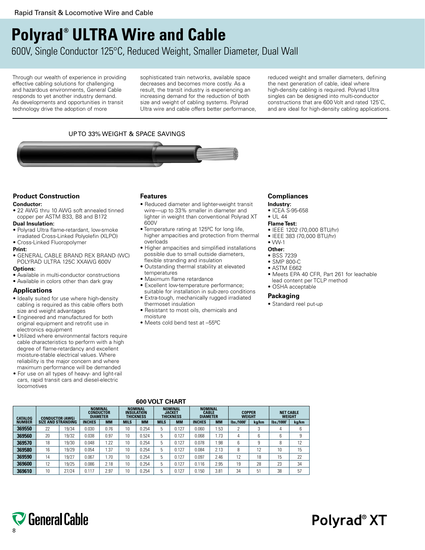# **Polyrad® ULTRA Wire and Cable**

600V, Single Conductor 125°C, Reduced Weight, Smaller Diameter, Dual Wall

Through our wealth of experience in providing effective cabling solutions for challenging and hazardous environments, General Cable responds to yet another industry demand. As developments and opportunities in transit technology drive the adoption of more

sophisticated train networks, available space decreases and becomes more costly. As a result, the transit industry is experiencing an increasing demand for the reduction of both size and weight of cabling systems. Polyrad Ultra wire and cable offers better performance, reduced weight and smaller diameters, defining the next generation of cable, ideal where high-density cabling is required. Polyrad Ultra singles can be designed into multi-conductor constructions that are 600 Volt and rated 125˚C, and are ideal for high-density cabling applications.

# UP TO 33% WEIGHT & SPACE SAVINGS



# **Product Construction**

## **Conductor:**

• 22 AWG thru 10 AWG soft annealed tinned copper per ASTM B33, B8 and B172

# **Dual Insulation:**

- Polyrad Ultra flame-retardant, low-smoke irradiated Cross-Linked Polyolefin (XLPO) • Cross-Linked Fluoropolymer
- 
- **Print:**
- GENERAL CABLE BRAND REX BRAND (WC) POLYRAD ULTRA 125C XXAWG 600V

## **Options:**

- Available in multi-conductor constructions
- Available in colors other than dark gray

# **Applications**

- Ideally suited for use where high-density cabling is required as this cable offers both size and weight advantages
- Engineered and manufactured for both original equipment and retrofit use in electronics equipment
- Utilized where environmental factors require cable characteristics to perform with a high degree of flame-retardancy and excellent moisture-stable electrical values. Where reliability is the major concern and where maximum performance will be demanded
- For use on all types of heavy- and light-rail cars, rapid transit cars and diesel-electric locomotives

# **Features**

- Reduced diameter and lighter-weight transit wire—up to 33% smaller in diameter and lighter in weight than conventional Polyrad XT 600V
- Temperature rating at 125ºC for long life, higher ampacities and protection from thermal overloads
- Higher ampacities and simplified installations possible due to small outside diameters, flexible stranding and insulation
- Outstanding thermal stability at elevated temperatures
- Maximum flame retardance
- Excellent low-temperature performance; suitable for installation in sub-zero conditions
- Extra-tough, mechanically rugged irradiated thermoset insulation
- Resistant to most oils, chemicals and moisture
- Meets cold bend test at –55ºC

# **Compliances**

- **Industry:** • ICEA S-95-658
- UL 44

## **Flame Test:**

- IEEE 1202 (70,000 BTU/hr)
- IEEE 383 (70,000 BTU/hr)
- VW-1
- **Other:**
- BSS 7239
- SMP 800-C
- ASTM E662
- Meets EPA 40 CFR, Part 261 for leachable lead content per TCLP method
- OSHA acceptable

## **Packaging**

• Standard reel put-up

# **600 Volt Chart**

|               | <b>CATALOG</b><br><b>CONDUCTOR (AWG)</b><br><b>SIZE AND STRANDING</b> |       | <b>NOMINAL</b><br><b>CONDUCTOR</b><br><b>DIAMETER</b> |           | <b>NOMINAL</b><br><b>INSULATION</b><br>THICKNESS |           |             | <b>NOMINAL</b><br><b>JACKET</b><br>THICKNESS |               | <b>NOMINAL</b><br><b>CABLE</b><br><b>DIAMETER</b> |            | <b>COPPER</b><br><b>WEIGHT</b> |             | <b>NET CABLE</b><br><b>WEIGHT</b> |  |
|---------------|-----------------------------------------------------------------------|-------|-------------------------------------------------------|-----------|--------------------------------------------------|-----------|-------------|----------------------------------------------|---------------|---------------------------------------------------|------------|--------------------------------|-------------|-----------------------------------|--|
| <b>NUMBER</b> |                                                                       |       | <b>INCHES</b>                                         | <b>MM</b> | <b>MILS</b>                                      | <b>MM</b> | <b>MILS</b> | <b>MM</b>                                    | <b>INCHES</b> | <b>MM</b>                                         | lbs./1000' | ka/km                          | lbs./1000'  | kg/km                             |  |
| 369550        | 22                                                                    | 19/34 | 0.030                                                 | 0.76      | 10                                               | 0.254     | h           | 0.127                                        | 0.060         | .53                                               |            |                                |             | 6                                 |  |
| 369560        | 20                                                                    | 19/32 | 0.038                                                 | 0.97      | 10                                               | 0.524     | 5           | 0.127                                        | 0.068         | 1.73                                              | 4          |                                | $\sim$<br>h | 9                                 |  |
| 369570        | 18                                                                    | 19/30 | 0.048                                                 | 1.22      | 10                                               | 0.254     | h           | 0.127                                        | 0.078         | .98                                               | 6          |                                |             | 12                                |  |
| 369580        | 16                                                                    | 19/29 | 0.054                                                 | 37، ا     | 10                                               | 0.254     | 5           | 0.127                                        | 0.084         | 2.13                                              | 8          | 12                             | 10          | 15                                |  |
| 369590        | 14                                                                    | 19/27 | 0.067                                                 | 1.70      | 10                                               | 0.254     | 5           | 0.127                                        | 0.097         | 2.46                                              | 12         | 18                             | 15          | 22                                |  |
| 369600        | 12                                                                    | 19/25 | 0.086                                                 | 2.18      | 10                                               | 0.254     | 5           | 0.127                                        | 0.116         | 2.95                                              | 19         | 28                             | 23          | 34                                |  |
| 369610        | 10                                                                    | 27/24 | 0.117                                                 | 2.97      | 10                                               | 0.254     | h           | 0.127                                        | 0.150         | 3.81                                              | 34         | 51                             | 38          | 57                                |  |

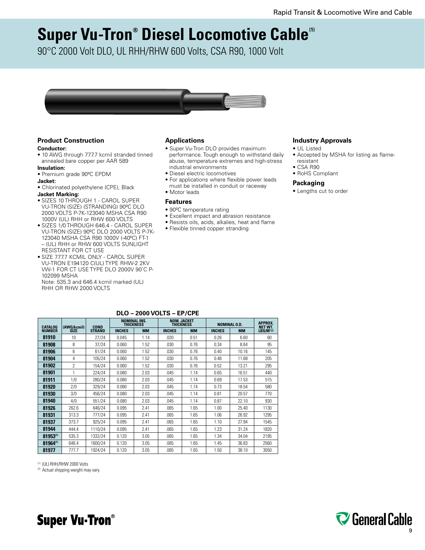# **Super Vu-Tron® Diesel Locomotive Cable<sup>(1)</sup>**

90°C 2000 Volt DLO, UL RHH/RHW 600 Volts, CSA R90, 1000 Volt



# **Product Construction**

## **Conductor:**

• 10 AWG through 777.7 kcmil stranded tinned annealed bare copper per AAR 589

# **Insulation:**

• Premium grade 90ºC EPDM

# **Jacket:**

• Chlorinated polyethylene (CPE), Black

# **Jacket Marking:**

- SIZES 10 THROUGH 1 CAROL SUPER VU-TRON (SIZE) (STRANDING) 90ºC DLO 2000 VOLTS P-7K-123040 MSHA CSA R90 1000V (UL) RHH or RHW 600 VOLTS
- SIZES 1/0 THROUGH 646.4 CAROL SUPER VU-TRON (SIZE) 90ºC DLO 2000 VOLTS P-7K-123040 MSHA CSA R90 1000V (-40ºC) FT-1 – (UL) RHH or RHW 600 VOLTS SUNLIGHT RESISTANT FOR CT USE
- SIZE 777.7 KCMIL ONLY CAROL SUPER VU-TRON E194120 C(UL) TYPE RHW-2 2KV VW-1 FOR CT USE TYPE DLO 2000V 90˚C P-102099 MSHA

Note: 535.3 and 646.4 kcmil marked (UL) RHH OR RHW 2000 VOLTS

# **Applications**

- Super Vu-Tron DLO provides maximum performance. Tough enough to withstand daily abuse, temperature extremes and high-stress industrial environments
- Diesel electric locomotives
- For applications where flexible power leads must be installed in conduit or raceway
- Motor leads

# **Features**

- 90ºC temperature rating
- Excellent impact and abrasion resistance
- Resists oils, acids, alkalies, heat and flame
- Flexible tinned copper stranding

# **Industry Approvals**

- UL Listed
- Accepted by MSHA for listing as flameresistant
- CSA R90
- RoHS Compliant

# **Packaging**

• Lengths cut to order

| <b>CATALOG</b> | (AWG/kcmil) | <b>COND</b>   |               | <b>NOMINAL INS.</b><br><b>THICKNESS</b> |               | <b>NOM. JACKET</b><br><b>THICKNESS</b> | <b>NOMINAL O.D.</b> | APPROX.<br><b>NET WT.</b> |                  |
|----------------|-------------|---------------|---------------|-----------------------------------------|---------------|----------------------------------------|---------------------|---------------------------|------------------|
| <b>NUMBER</b>  | <b>SİZE</b> | <b>STRAND</b> | <b>INCHES</b> | <b>MM</b>                               | <b>INCHES</b> | <b>MM</b>                              | <b>INCHES</b>       | <b>MM</b>                 | $LBS/M'{}^{(2)}$ |
| 81910          | 10          | 27/24         | 0.045         | 1.14                                    | .020          | 0.51                                   | 0.26                | 6.60                      | 60               |
| 81908          | 8           | 37/24         | 0.060         | 1.52                                    | .030          | 0.76                                   | 0.34                | 8.64                      | 95               |
| 81906          | 6           | 61/24         | 0.060         | 1.52                                    | .030          | 0.76                                   | 0.40                | 10.16                     | 145              |
| 81904          | 4           | 105/24        | 0.060         | 1.52                                    | .030          | 0.76                                   | 0.46                | 11.68                     | 205              |
| 81902          | 2           | 154/24        | 0.060         | 1.52                                    | .030          | 0.76                                   | 0.52                | 13.21                     | 295              |
| 81901          | 1           | 224/24        | 0.080         | 2.03                                    | .045          | 1.14                                   | 0.65                | 16.51                     | 440              |
| 81911          | 1/0         | 280/24        | 0.080         | 2.03                                    | .045          | 1.14                                   | 0.69                | 17.53                     | 515              |
| 81920          | 2/0         | 329/24        | 0.080         | 2.03                                    | .045          | 1.14                                   | 0.73                | 18.54                     | 580              |
| 81930          | 3/0         | 456/24        | 0.080         | 2.03                                    | .045          | 1.14                                   | 0.81                | 20.57                     | 770              |
| 81940          | 4/0         | 551/24        | 0.080         | 2.03                                    | .045          | 1.14                                   | 0.87                | 22.10                     | 930              |
| 81926          | 262.6       | 646/24        | 0.095         | 2.41                                    | .065          | 1.65                                   | 1.00                | 25.40                     | 1130             |
| 81931          | 313.3       | 777/24        | 0.095         | 2.41                                    | .065          | 1.65                                   | 1.06                | 26.92                     | 1295             |
| 81937          | 373.7       | 925/24        | 0.095         | 2.41                                    | .065          | 1.65                                   | 1.10                | 27.94                     | 1545             |
| 81944          | 444.4       | 1110/24       | 0.095         | 2.41                                    | .065          | 1.65                                   | 1.23                | 31.24                     | 1820             |
| 81953(1)       | 535.3       | 1332/24       | 0.120         | 3.05                                    | .065          | 1.65                                   | 1.34                | 34.04                     | 2195             |
| 81964(1)       | 646.4       | 1600/24       | 0.120         | 3.05                                    | .065          | 1.65                                   | 1.45                | 36.83                     | 2560             |
| 81977          | 777.7       | 1924/24       | 0.120         | 3.05                                    | .065          | 1.65                                   | 1.50                | 38.10                     | 3050             |

# **dlo – 2000 volts – ep/cpe**

(1) (UL) RHH/RHW 2000 Volts

(2) Actual shipping weight may vary.



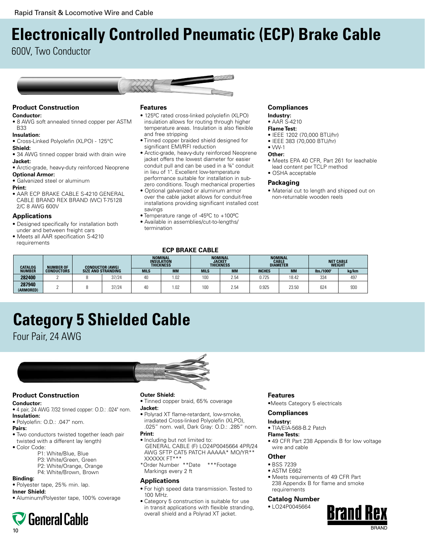# **Electronically Controlled Pneumatic (ECP) Brake Cable**

600V, Two Conductor



# **Product Construction**

### **Conductor:**

- 8 AWG soft annealed tinned copper per ASTM B33
- **Insulation:** • Cross-Linked Polyolefin (XLPO) - 125°C

# **Shield:**

- 34 AWG tinned copper braid with drain wire **Jacket:**
- Arctic-grade, heavy-duty reinforced Neoprene **Optional Armor:**
- Galvanized steel or aluminum

#### **Print:**

• AAR ECP BRAKE CABLE S-4210 GENERAL CABLE BRAND REX BRAND (WC) T-75128 2/C 8 AWG 600V

# **Applications**

- Designed specifically for installation both under and between freight cars
- Meets all AAR specification S-4210 requirements

# **Features**

- 125ºC rated cross-linked polyolefin (XLPO) insulation allows for routing through higher temperature areas. Insulation is also flexible and free stripping
- Tinned copper braided shield designed for significant EMI/RFI reduction
- Arctic-grade, heavy-duty reinforced Neoprene jacket offers the lowest diameter for easier conduit pull and can be used in a ¾" conduit in lieu of 1". Excellent low-temperature performance suitable for installation in subzero conditions. Tough mechanical properties
- Optional galvanized or aluminum armor over the cable jacket allows for conduit-free installations providing significant installed cost savings
- Temperature range of -45ºC to +100ºC
- Available in assemblies/cut-to-lengths/ termination

# **Compliances**

#### **Industry:** • AAR S-4210

# **Flame Test:**

- IEEE 1202 (70,000 BTU/hr)
- IEEE 383 (70,000 BTU/hr)
- $\bullet$  VW-1

## **Other:**

- Meets EPA 40 CFR, Part 261 for leachable lead content per TCLP method • OSHA acceptable
- 

# **Packaging**

• Material cut to length and shipped out on non-returnable wooden reels

|  |  | <b>ECP BRAKE CABLE</b> |
|--|--|------------------------|
|--|--|------------------------|

|                     | <b>CATALOG</b><br><b>NUMBER OF</b><br><b>CONDUCTOR (AWG)</b> |  | <b>INSULATION</b>  | <b>NOMINAL</b><br>THICKNESS | <b>JACKET</b><br><b>THICKNESS</b> | <b>NOMINAL</b> | <b>CABLE</b> | <b>NOMINAL</b><br><b>DIAMETER</b> | <b>NET CABLE</b><br><b>WEIGHT</b> |            |       |
|---------------------|--------------------------------------------------------------|--|--------------------|-----------------------------|-----------------------------------|----------------|--------------|-----------------------------------|-----------------------------------|------------|-------|
| <b>NUMBER</b>       | <b>CONDUCTORS</b>                                            |  | SIZE AND STRANDING |                             | <b>MM</b>                         | <b>MILS</b>    | <b>MM</b>    | <b>INCHES</b>                     | <b>MM</b>                         | lbs./1000' | kg/km |
| 282400              |                                                              |  | 37/24              | 40                          | .02                               | 100            | 2.54         | 0.725                             | 18.42                             | 334        | 497   |
| 287940<br>(ARMORED) |                                                              |  | 37/24              | 40                          | 1.02                              | 100            | 2.54         | 0.925                             | 23.50                             | 624        | 930   |

# **Category 5 Shielded Cable**

Four Pair, 24 AWG



# **Product Construction**

# **Conductor:**

- 4 pair, 24 AWG 7/32 tinned copper: O.D.: .024" nom. **Insulation:**
- Polyolefin: O.D.: .047" nom.

# **Pairs:**

- Two conductors twisted together (each pair twisted with a different lay length)
- Color Code:
	- P1: White/Blue, Blue
		- P3: White/Green, Green
		- P2: White/Orange, Orange P4: White/Brown, Brown
- **Binding:**
- Polyester tape, 25% min. lap.

## **Inner Shield:**

• Aluminum/Polyester tape, 100% coverage

**General Cable** 

## **Outer Shield:**

• Tinned copper braid, 65% coverage

# **Jacket:**

• Polyrad XT flame-retardant, low-smoke, irradiated Cross-linked Polyolefin (XLPO), .025" nom. wall, Dark Gray: O.D.: .285" nom. **Print:**

- Including but not limited to: GENERAL CABLE (F) LO24P0045664 4PR/24 AWG SFTP CAT5 PATCH AAAAA\* MO/YR\*\* XXXXXX FT\*\*\*
- \*Order Number \*\*Date \*\*\*Footage Markings every 2 ft

# **Applications**

- For high speed data transmission. Tested to 100 MHz.
- Category 5 construction is suitable for use in transit applications with flexible stranding, overall shield and a Polyrad XT jacket.

# **Features**

•Meets Category 5 electricals

# **Compliances**

# **Industry:**

• TIA/EIA-568-B.2 Patch

# **Flame Tests:**

• 49 CFR Part 238 Appendix B for low voltage wire and cable

# **Other**

- BSS 7239
- ASTM E662
- Meets requirements of 49 CFR Part 238 Appendix B for flame and smoke requirements

# **Catalog Number**

• LO24P0045664

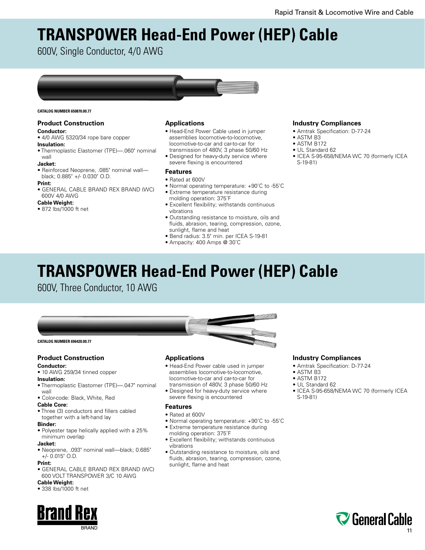# **TRANSPOWER Head-End Power (HEP) Cable**

600V, Single Conductor, 4/0 AWG



#### **CATALOG NUMBER 650870.00.77**

# **Product Construction**

# **Conductor:**

# • 4/0 AWG 5320/34 rope bare copper

# **Insulation:**

• Thermoplastic Elastomer (TPE)—.060" nominal wall

# **Jacket:**

• Reinforced Neoprene, .085" nominal wall black; 0.885" +/- 0.030" O.D.

# **Print:**

• GENERAL CABLE BRAND REX BRAND (WC) 600V 4/0 AWG

# **Cable Weight:**

• 872 lbs/1000 ft net

# **Applications**

- Head-End Power Cable used in jumper assemblies locomotive-to-locomotive, locomotive-to-car and car-to-car for transmission of 480V, 3 phase 50/60 Hz
- Designed for heavy-duty service where severe flexing is encountered

# **Features**

- Rated at 600V
- Normal operating temperature: +90˚C to -55˚C
- Extreme temperature resistance during
- molding operation: 375˚F
- Excellent flexibility; withstands continuous vibrations
- Outstanding resistance to moisture, oils and fluids, abrasion, tearing, compression, ozone, sunlight, flame and heat
- Bend radius: 3.5" min. per ICEA S-19-81
- Ampacity: 400 Amps @ 30˚C

# **Industry Compliances**

- Amtrak Specification: D-77-24
- ASTM B3
- ASTM B172
- UL Standard 62
- ICEA S-95-658/NEMA WC 70 (formerly ICEA S-19-81)

# **TRANSPOWER Head-End Power (HEP) Cable**

600V, Three Conductor, 10 AWG



# **Product Construction**

# **Conductor:**

• 10 AWG 259/34 tinned copper

#### **Insulation:**

- Thermoplastic Elastomer (TPE)—.047" nominal wall
- Color-code: Black, White, Red

#### **Cable Core:**

• Three (3) conductors and fillers cabled together with a left-hand lay

#### **Binder:**

• Polyester tape helically applied with a 25% minimum overlap

# **Jacket:**

• Neoprene, .093" nominal wall—black; 0.685" +/- 0.015" O.D.

#### **Print:**

• GENERAL CABLE BRAND REX BRAND (WC) 600 VOLT TRANSPOWER 3/C 10 AWG

# **Cable Weight:**

• 338 lbs/1000 ft net



## **Applications**

- Head-End Power cable used in jumper assemblies locomotive-to-locomotive, locomotive-to-car and car-to-car for transmission of 480V, 3 phase 50/60 Hz
- Designed for heavy-duty service where severe flexing is encountered

## **Features**

- Rated at 600V
- Normal operating temperature: +90˚C to -55˚C
- Extreme temperature resistance during
- molding operation: 375˚F • Excellent flexibility; withstands continuous vibrations
- Outstanding resistance to moisture, oils and fluids, abrasion, tearing, compression, ozone, sunlight, flame and heat

# **Industry Compliances**

- Amtrak Specification: D-77-24
- ASTM B3

# • ASTM B172

- UL Standard 62
- ICEA S-95-658/NEMA WC 70 (formerly ICEA S-19-81)